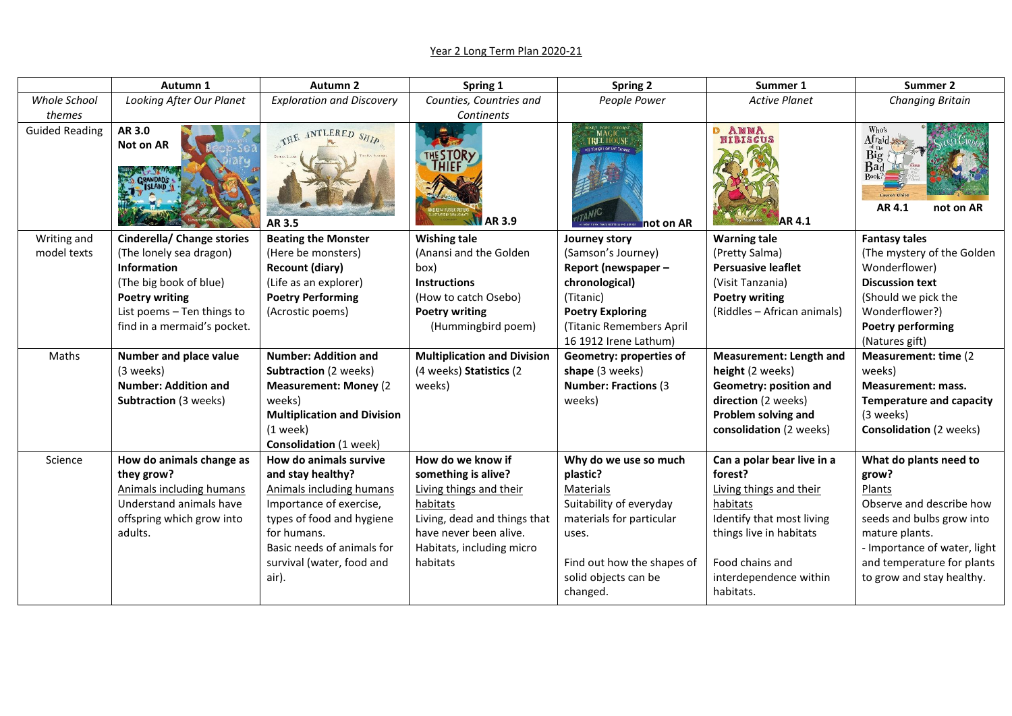## Year 2 Long Term Plan 2020-21

|                       | Autumn 1                     | Autumn <sub>2</sub>                      | Spring 1                                            | <b>Spring 2</b>                                                    | Summer 1                                         | Summer 2                                                    |
|-----------------------|------------------------------|------------------------------------------|-----------------------------------------------------|--------------------------------------------------------------------|--------------------------------------------------|-------------------------------------------------------------|
| <b>Whole School</b>   | Looking After Our Planet     | <b>Exploration and Discovery</b>         | Counties, Countries and                             | People Power                                                       | <b>Active Planet</b>                             | <b>Changing Britain</b>                                     |
| themes                |                              |                                          | Continents                                          |                                                                    |                                                  |                                                             |
| <b>Guided Reading</b> | AR 3.0<br>Not on AR          | THE ANTLERED SHIP<br>AR 3.5              | <b>AR 3.9</b>                                       | <b>TREE HOUSE</b><br><b>CIT TONIGHT ON THE TEGHNI</b><br>not on AR | <b>D ANNA</b><br><b>HIBISCUS</b><br><b>AR4.1</b> | Who's<br>Afraid<br>Big<br><b>Bad</b><br>AR 4.1<br>not on AR |
| Writing and           | Cinderella/ Change stories   | <b>Beating the Monster</b>               | <b>Wishing tale</b>                                 | Journey story                                                      | <b>Warning tale</b>                              | <b>Fantasy tales</b>                                        |
| model texts           | (The lonely sea dragon)      | (Here be monsters)                       | (Anansi and the Golden                              | (Samson's Journey)                                                 | (Pretty Salma)                                   | (The mystery of the Golden                                  |
|                       | Information                  | <b>Recount (diary)</b>                   | box)                                                | Report (newspaper -                                                | <b>Persuasive leaflet</b>                        | Wonderflower)                                               |
|                       | (The big book of blue)       | (Life as an explorer)                    | <b>Instructions</b>                                 | chronological)                                                     | (Visit Tanzania)                                 | <b>Discussion text</b>                                      |
|                       | <b>Poetry writing</b>        | <b>Poetry Performing</b>                 | (How to catch Osebo)                                | (Titanic)                                                          | <b>Poetry writing</b>                            | (Should we pick the                                         |
|                       | List poems - Ten things to   | (Acrostic poems)                         | <b>Poetry writing</b>                               | <b>Poetry Exploring</b>                                            | (Riddles - African animals)                      | Wonderflower?)                                              |
|                       | find in a mermaid's pocket.  |                                          | (Hummingbird poem)                                  | (Titanic Remembers April                                           |                                                  | <b>Poetry performing</b>                                    |
|                       |                              |                                          |                                                     | 16 1912 Irene Lathum)                                              |                                                  | (Natures gift)                                              |
| Maths                 | Number and place value       | <b>Number: Addition and</b>              | <b>Multiplication and Division</b>                  | Geometry: properties of                                            | <b>Measurement: Length and</b>                   | Measurement: time (2)                                       |
|                       | (3 weeks)                    | <b>Subtraction (2 weeks)</b>             | (4 weeks) Statistics (2                             | shape (3 weeks)                                                    | height (2 weeks)                                 | weeks)                                                      |
|                       | <b>Number: Addition and</b>  | <b>Measurement: Money (2)</b>            | weeks)                                              | <b>Number: Fractions (3)</b>                                       | Geometry: position and                           | <b>Measurement: mass.</b>                                   |
|                       | <b>Subtraction (3 weeks)</b> | weeks)                                   |                                                     | weeks)                                                             | direction (2 weeks)                              | <b>Temperature and capacity</b>                             |
|                       |                              | <b>Multiplication and Division</b>       |                                                     |                                                                    | Problem solving and                              | (3 weeks)                                                   |
|                       |                              | $(1$ week)                               |                                                     |                                                                    | consolidation (2 weeks)                          | <b>Consolidation (2 weeks)</b>                              |
|                       |                              | <b>Consolidation (1 week)</b>            |                                                     |                                                                    |                                                  |                                                             |
| Science               | How do animals change as     | How do animals survive                   | How do we know if                                   | Why do we use so much                                              | Can a polar bear live in a                       | What do plants need to                                      |
|                       | they grow?                   | and stay healthy?                        | something is alive?                                 | plastic?                                                           | forest?                                          | grow?                                                       |
|                       | Animals including humans     | Animals including humans                 | Living things and their                             | Materials                                                          | Living things and their                          | Plants                                                      |
|                       | Understand animals have      | Importance of exercise,                  | habitats                                            | Suitability of everyday                                            | habitats                                         | Observe and describe how                                    |
|                       | offspring which grow into    | types of food and hygiene<br>for humans. | Living, dead and things that                        | materials for particular                                           | Identify that most living                        | seeds and bulbs grow into                                   |
|                       | adults.                      | Basic needs of animals for               | have never been alive.<br>Habitats, including micro | uses.                                                              | things live in habitats                          | mature plants.<br>- Importance of water, light              |
|                       |                              |                                          | habitats                                            |                                                                    | Food chains and                                  |                                                             |
|                       |                              | survival (water, food and                |                                                     | Find out how the shapes of                                         |                                                  | and temperature for plants                                  |
|                       |                              | air).                                    |                                                     | solid objects can be                                               | interdependence within<br>habitats.              | to grow and stay healthy.                                   |
|                       |                              |                                          |                                                     | changed.                                                           |                                                  |                                                             |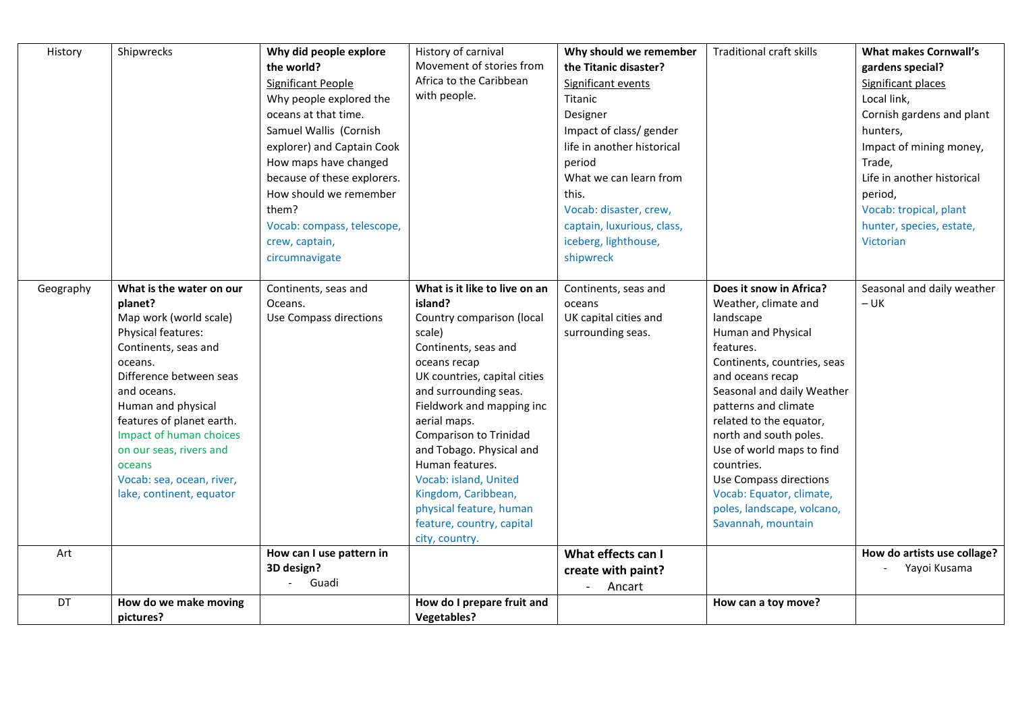| History   | Shipwrecks                                                                                                                                                                                                                                                                                                                                   | Why did people explore<br>the world?<br>Significant People<br>Why people explored the<br>oceans at that time.<br>Samuel Wallis (Cornish<br>explorer) and Captain Cook<br>How maps have changed<br>because of these explorers.<br>How should we remember<br>them? | History of carnival<br>Movement of stories from<br>Africa to the Caribbean<br>with people.                                                                                                                                                                                                                                                                                                                                       | Why should we remember<br>the Titanic disaster?<br>Significant events<br>Titanic<br>Designer<br>Impact of class/ gender<br>life in another historical<br>period<br>What we can learn from<br>this.<br>Vocab: disaster, crew, | <b>Traditional craft skills</b>                                                                                                                                                                                                                                                                                                                                                                                    | <b>What makes Cornwall's</b><br>gardens special?<br>Significant places<br>Local link,<br>Cornish gardens and plant<br>hunters,<br>Impact of mining money,<br>Trade,<br>Life in another historical<br>period,<br>Vocab: tropical, plant |
|-----------|----------------------------------------------------------------------------------------------------------------------------------------------------------------------------------------------------------------------------------------------------------------------------------------------------------------------------------------------|------------------------------------------------------------------------------------------------------------------------------------------------------------------------------------------------------------------------------------------------------------------|----------------------------------------------------------------------------------------------------------------------------------------------------------------------------------------------------------------------------------------------------------------------------------------------------------------------------------------------------------------------------------------------------------------------------------|------------------------------------------------------------------------------------------------------------------------------------------------------------------------------------------------------------------------------|--------------------------------------------------------------------------------------------------------------------------------------------------------------------------------------------------------------------------------------------------------------------------------------------------------------------------------------------------------------------------------------------------------------------|----------------------------------------------------------------------------------------------------------------------------------------------------------------------------------------------------------------------------------------|
|           |                                                                                                                                                                                                                                                                                                                                              | Vocab: compass, telescope,<br>crew, captain,<br>circumnavigate                                                                                                                                                                                                   |                                                                                                                                                                                                                                                                                                                                                                                                                                  | captain, luxurious, class,<br>iceberg, lighthouse,<br>shipwreck                                                                                                                                                              |                                                                                                                                                                                                                                                                                                                                                                                                                    | hunter, species, estate,<br>Victorian                                                                                                                                                                                                  |
| Geography | What is the water on our<br>planet?<br>Map work (world scale)<br>Physical features:<br>Continents, seas and<br>oceans.<br>Difference between seas<br>and oceans.<br>Human and physical<br>features of planet earth.<br>Impact of human choices<br>on our seas, rivers and<br>oceans<br>Vocab: sea, ocean, river,<br>lake, continent, equator | Continents, seas and<br>Oceans.<br>Use Compass directions                                                                                                                                                                                                        | What is it like to live on an<br>island?<br>Country comparison (local<br>scale)<br>Continents, seas and<br>oceans recap<br>UK countries, capital cities<br>and surrounding seas.<br>Fieldwork and mapping inc<br>aerial maps.<br>Comparison to Trinidad<br>and Tobago. Physical and<br>Human features.<br>Vocab: island, United<br>Kingdom, Caribbean,<br>physical feature, human<br>feature, country, capital<br>city, country. | Continents, seas and<br>oceans<br>UK capital cities and<br>surrounding seas.                                                                                                                                                 | Does it snow in Africa?<br>Weather, climate and<br>landscape<br>Human and Physical<br>features.<br>Continents, countries, seas<br>and oceans recap<br>Seasonal and daily Weather<br>patterns and climate<br>related to the equator,<br>north and south poles.<br>Use of world maps to find<br>countries.<br>Use Compass directions<br>Vocab: Equator, climate,<br>poles, landscape, volcano,<br>Savannah, mountain | Seasonal and daily weather<br>$- UK$                                                                                                                                                                                                   |
| Art       |                                                                                                                                                                                                                                                                                                                                              | How can I use pattern in<br>3D design?<br>Guadi<br>$\overline{\phantom{a}}$                                                                                                                                                                                      |                                                                                                                                                                                                                                                                                                                                                                                                                                  | What effects can I<br>create with paint?<br>Ancart<br>$\overline{\phantom{a}}$                                                                                                                                               |                                                                                                                                                                                                                                                                                                                                                                                                                    | How do artists use collage?<br>Yayoi Kusama                                                                                                                                                                                            |
| DT        | How do we make moving<br>pictures?                                                                                                                                                                                                                                                                                                           |                                                                                                                                                                                                                                                                  | How do I prepare fruit and<br><b>Vegetables?</b>                                                                                                                                                                                                                                                                                                                                                                                 |                                                                                                                                                                                                                              | How can a toy move?                                                                                                                                                                                                                                                                                                                                                                                                |                                                                                                                                                                                                                                        |